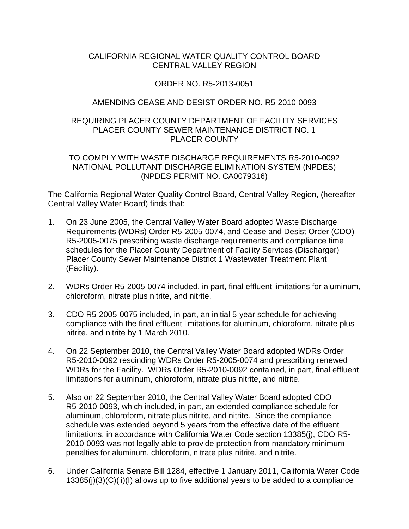# CALIFORNIA REGIONAL WATER QUALITY CONTROL BOARD CENTRAL VALLEY REGION

# ORDER NO. R5-2013-0051

# AMENDING CEASE AND DESIST ORDER NO. R5-2010-0093

#### REQUIRING PLACER COUNTY DEPARTMENT OF FACILITY SERVICES PLACER COUNTY SEWER MAINTENANCE DISTRICT NO. 1 PLACER COUNTY

#### TO COMPLY WITH WASTE DISCHARGE REQUIREMENTS R5-2010-0092 NATIONAL POLLUTANT DISCHARGE ELIMINATION SYSTEM (NPDES) (NPDES PERMIT NO. CA0079316)

The California Regional Water Quality Control Board, Central Valley Region, (hereafter Central Valley Water Board) finds that:

- 1. On 23 June 2005, the Central Valley Water Board adopted Waste Discharge Requirements (WDRs) Order R5-2005-0074, and Cease and Desist Order (CDO) R5-2005-0075 prescribing waste discharge requirements and compliance time schedules for the Placer County Department of Facility Services (Discharger) Placer County Sewer Maintenance District 1 Wastewater Treatment Plant (Facility).
- 2. WDRs Order R5-2005-0074 included, in part, final effluent limitations for aluminum, chloroform, nitrate plus nitrite, and nitrite.
- 3. CDO R5-2005-0075 included, in part, an initial 5-year schedule for achieving compliance with the final effluent limitations for aluminum, chloroform, nitrate plus nitrite, and nitrite by 1 March 2010.
- 4. On 22 September 2010, the Central Valley Water Board adopted WDRs Order R5-2010-0092 rescinding WDRs Order R5-2005-0074 and prescribing renewed WDRs for the Facility. WDRs Order R5-2010-0092 contained, in part, final effluent limitations for aluminum, chloroform, nitrate plus nitrite, and nitrite.
- 5. Also on 22 September 2010, the Central Valley Water Board adopted CDO R5-2010-0093, which included, in part, an extended compliance schedule for aluminum, chloroform, nitrate plus nitrite, and nitrite. Since the compliance schedule was extended beyond 5 years from the effective date of the effluent limitations, in accordance with California Water Code section 13385(j), CDO R5- 2010-0093 was not legally able to provide protection from mandatory minimum penalties for aluminum, chloroform, nitrate plus nitrite, and nitrite.
- 6. Under California Senate Bill 1284, effective 1 January 2011, California Water Code 13385(j)(3)(C)(ii)(I) allows up to five additional years to be added to a compliance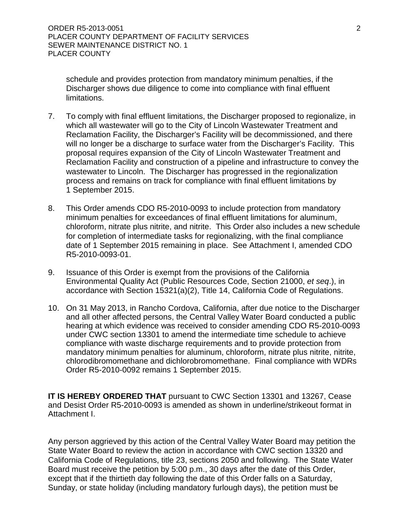schedule and provides protection from mandatory minimum penalties, if the Discharger shows due diligence to come into compliance with final effluent limitations.

- 7. To comply with final effluent limitations, the Discharger proposed to regionalize, in which all wastewater will go to the City of Lincoln Wastewater Treatment and Reclamation Facility, the Discharger's Facility will be decommissioned, and there will no longer be a discharge to surface water from the Discharger's Facility. This proposal requires expansion of the City of Lincoln Wastewater Treatment and Reclamation Facility and construction of a pipeline and infrastructure to convey the wastewater to Lincoln. The Discharger has progressed in the regionalization process and remains on track for compliance with final effluent limitations by 1 September 2015.
- 8. This Order amends CDO R5-2010-0093 to include protection from mandatory minimum penalties for exceedances of final effluent limitations for aluminum, chloroform, nitrate plus nitrite, and nitrite. This Order also includes a new schedule for completion of intermediate tasks for regionalizing, with the final compliance date of 1 September 2015 remaining in place. See Attachment I, amended CDO R5-2010-0093-01.
- 9. Issuance of this Order is exempt from the provisions of the California Environmental Quality Act (Public Resources Code, Section 21000, *et seq*.), in accordance with Section 15321(a)(2), Title 14, California Code of Regulations.
- 10. On 31 May 2013, in Rancho Cordova, California, after due notice to the Discharger and all other affected persons, the Central Valley Water Board conducted a public hearing at which evidence was received to consider amending CDO R5-2010-0093 under CWC section 13301 to amend the intermediate time schedule to achieve compliance with waste discharge requirements and to provide protection from mandatory minimum penalties for aluminum, chloroform, nitrate plus nitrite, nitrite, chlorodibromomethane and dichlorobromomethane. Final compliance with WDRs Order R5-2010-0092 remains 1 September 2015.

**IT IS HEREBY ORDERED THAT** pursuant to CWC Section 13301 and 13267, Cease and Desist Order R5-2010-0093 is amended as shown in underline/strikeout format in Attachment I.

Any person aggrieved by this action of the Central Valley Water Board may petition the State Water Board to review the action in accordance with CWC section 13320 and California Code of Regulations, title 23, sections 2050 and following. The State Water Board must receive the petition by 5:00 p.m., 30 days after the date of this Order, except that if the thirtieth day following the date of this Order falls on a Saturday, Sunday, or state holiday (including mandatory furlough days), the petition must be